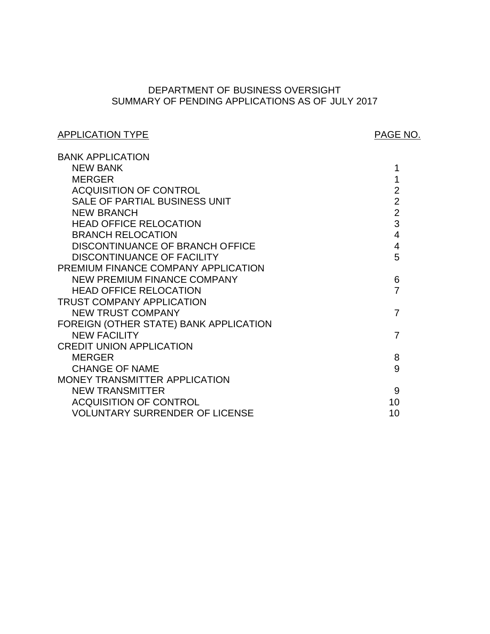# SUMMARY OF PENDING APPLICATIONS AS OF JULY 2017 DEPARTMENT OF BUSINESS OVERSIGHT

# APPLICATION TYPE APPLICATION TYPE

| <b>BANK APPLICATION</b>                |                |
|----------------------------------------|----------------|
| <b>NEW BANK</b>                        | 1              |
| <b>MERGER</b>                          | 1              |
| <b>ACQUISITION OF CONTROL</b>          | $\overline{2}$ |
| SALE OF PARTIAL BUSINESS UNIT          | $\overline{2}$ |
| <b>NEW BRANCH</b>                      | $\overline{2}$ |
| <b>HEAD OFFICE RELOCATION</b>          | 3              |
| <b>BRANCH RELOCATION</b>               | $\overline{4}$ |
| DISCONTINUANCE OF BRANCH OFFICE        | $\overline{4}$ |
| <b>DISCONTINUANCE OF FACILITY</b>      | 5              |
| PREMIUM FINANCE COMPANY APPLICATION    |                |
| NEW PREMIUM FINANCE COMPANY            | 6              |
| <b>HEAD OFFICE RELOCATION</b>          | 7              |
| <b>TRUST COMPANY APPLICATION</b>       |                |
| <b>NEW TRUST COMPANY</b>               | $\overline{7}$ |
| FOREIGN (OTHER STATE) BANK APPLICATION |                |
| <b>NEW FACILITY</b>                    | 7              |
| <b>CREDIT UNION APPLICATION</b>        |                |
| <b>MERGER</b>                          | 8              |
| <b>CHANGE OF NAME</b>                  | 9              |
| MONEY TRANSMITTER APPLICATION          |                |
| <b>NEW TRANSMITTER</b>                 | 9              |
| <b>ACQUISITION OF CONTROL</b>          | 10             |
| <b>VOLUNTARY SURRENDER OF LICENSE</b>  | 10             |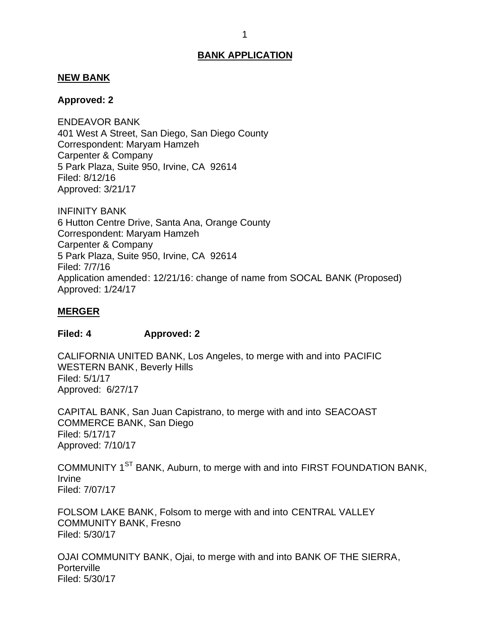## <span id="page-1-0"></span>**NEW BANK**

## **Approved: 2**

 401 West A Street, San Diego, San Diego County Correspondent: Maryam Hamzeh Carpenter & Company 5 Park Plaza, Suite 950, Irvine, CA 92614 ENDEAVOR BANK Filed: 8/12/16 Approved: 3/21/17

 6 Hutton Centre Drive, Santa Ana, Orange County Correspondent: Maryam Hamzeh Carpenter & Company 5 Park Plaza, Suite 950, Irvine, CA 92614 INFINITY BANK Filed: 7/7/16 Application amended: 12/21/16: change of name from SOCAL BANK (Proposed) Approved: 1/24/17

#### **MERGER**

#### **Filed: 4 Approved: 2**

 CALIFORNIA UNITED BANK, Los Angeles, to merge with and into PACIFIC WESTERN BANK, Beverly Hills Approved: 6/27/17 Filed: 5/1/17

 CAPITAL BANK, San Juan Capistrano, to merge with and into SEACOAST COMMERCE BANK, San Diego Filed: 5/17/17 Approved: 7/10/17

COMMUNITY 1<sup>ST</sup> BANK, Auburn, to merge with and into FIRST FOUNDATION BANK, Irvine Filed: 7/07/17

 FOLSOM LAKE BANK, Folsom to merge with and into CENTRAL VALLEY COMMUNITY BANK, Fresno Filed: 5/30/17

 OJAI COMMUNITY BANK, Ojai, to merge with and into BANK OF THE SIERRA, **Porterville** Filed: 5/30/17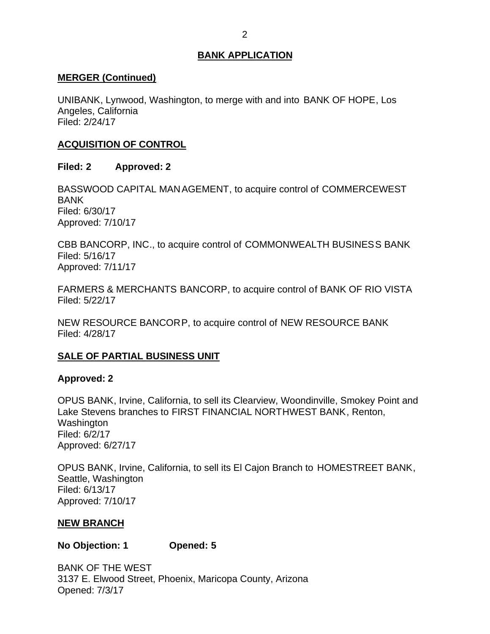## <span id="page-2-0"></span>**MERGER (Continued)**

 UNIBANK, Lynwood, Washington, to merge with and into BANK OF HOPE, Los Angeles, California Filed: 2/24/17

# **ACQUISITION OF CONTROL**

# **Filed: 2 Approved: 2**

 BASSWOOD CAPITAL MANAGEMENT, to acquire control of COMMERCEWEST BANK Filed: 6/30/17 Approved: 7/10/17

 CBB BANCORP, INC., to acquire control of COMMONWEALTH BUSINESS BANK Filed: 5/16/17 Approved: 7/11/17

 FARMERS & MERCHANTS BANCORP, to acquire control of BANK OF RIO VISTA Filed: 5/22/17

 NEW RESOURCE BANCORP, to acquire control of NEW RESOURCE BANK Filed: 4/28/17

# **SALE OF PARTIAL BUSINESS UNIT**

# **Approved: 2**

 OPUS BANK, Irvine, California, to sell its Clearview, Woondinville, Smokey Point and Lake Stevens branches to FIRST FINANCIAL NORTHWEST BANK, Renton, Washington Filed: 6/2/17 Approved: 6/27/17

 OPUS BANK, Irvine, California, to sell its El Cajon Branch to HOMESTREET BANK, Seattle, Washington Filed: 6/13/17 Approved: 7/10/17

# **NEW BRANCH**

**No Objection: 1 Opened: 5** 

 BANK OF THE WEST 3137 E. Elwood Street, Phoenix, Maricopa County, Arizona Opened: 7/3/17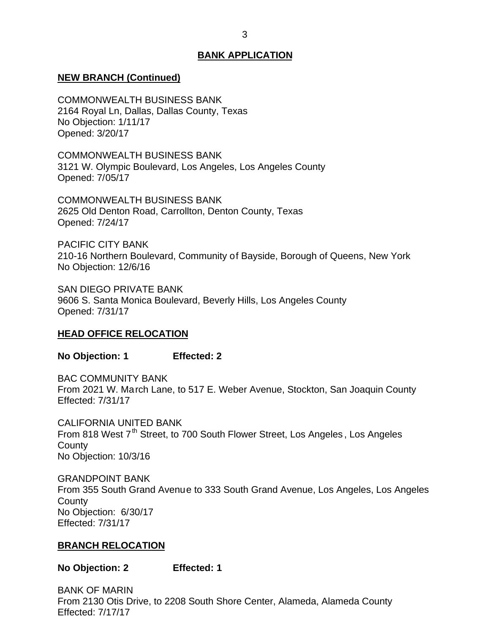## <span id="page-3-0"></span>**NEW BRANCH (Continued)**

 2164 Royal Ln, Dallas, Dallas County, Texas No Objection: 1/11/17 COMMONWEALTH BUSINESS BANK Opened: 3/20/17

 3121 W. Olympic Boulevard, Los Angeles, Los Angeles County COMMONWEALTH BUSINESS BANK Opened: 7/05/17

 2625 Old Denton Road, Carrollton, Denton County, Texas COMMONWEALTH BUSINESS BANK Opened: 7/24/17

 210-16 Northern Boulevard, Community of Bayside, Borough of Queens, New York No Objection: 12/6/16 PACIFIC CITY BANK

 SAN DIEGO PRIVATE BANK 9606 S. Santa Monica Boulevard, Beverly Hills, Los Angeles County Opened: 7/31/17

#### **HEAD OFFICE RELOCATION**

**No Objection: 1 Effected: 2** 

 From 2021 W. March Lane, to 517 E. Weber Avenue, Stockton, San Joaquin County BAC COMMUNITY BANK Effected: 7/31/17

From 818 West 7<sup>th</sup> Street, to 700 South Flower Street, Los Angeles, Los Angeles No Objection: 10/3/16 CALIFORNIA UNITED BANK **County** 

 From 355 South Grand Avenue to 333 South Grand Avenue, Los Angeles, Los Angeles No Objection: 6/30/17 GRANDPOINT BANK **County** Effected: 7/31/17

#### **BRANCH RELOCATION**

**No Objection: 2 Effected: 1** 

 From 2130 Otis Drive, to 2208 South Shore Center, Alameda, Alameda County BANK OF MARIN Effected: 7/17/17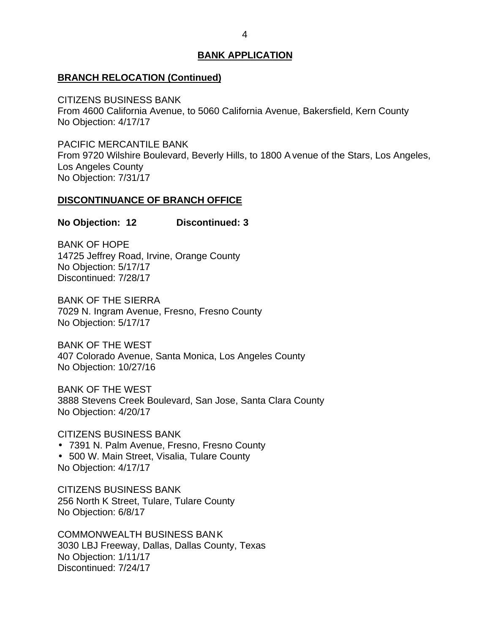## <span id="page-4-0"></span>**BRANCH RELOCATION (Continued)**

 From 4600 California Avenue, to 5060 California Avenue, Bakersfield, Kern County No Objection: 4/17/17 CITIZENS BUSINESS BANK

 From 9720 Wilshire Boulevard, Beverly Hills, to 1800 A venue of the Stars, Los Angeles, No Objection: 7/31/17 PACIFIC MERCANTILE BANK Los Angeles County

#### **DISCONTINUANCE OF BRANCH OFFICE**

#### **No Objection: 12 Discontinued: 3**

 14725 Jeffrey Road, Irvine, Orange County No Objection: 5/17/17 BANK OF HOPE Discontinued: 7/28/17

 BANK OF THE SIERRA 7029 N. Ingram Avenue, Fresno, Fresno County No Objection: 5/17/17

 BANK OF THE WEST 407 Colorado Avenue, Santa Monica, Los Angeles County No Objection: 10/27/16

 BANK OF THE WEST 3888 Stevens Creek Boulevard, San Jose, Santa Clara County No Objection: 4/20/17

CITIZENS BUSINESS BANK

 7391 N. Palm Avenue, Fresno, Fresno County 500 W. Main Street, Visalia, Tulare County

No Objection: 4/17/17

 256 North K Street, Tulare, Tulare County No Objection: 6/8/17 CITIZENS BUSINESS BANK

 3030 LBJ Freeway, Dallas, Dallas County, Texas No Objection: 1/11/17 COMMONWEALTH BUSINESS BAN K Discontinued: 7/24/17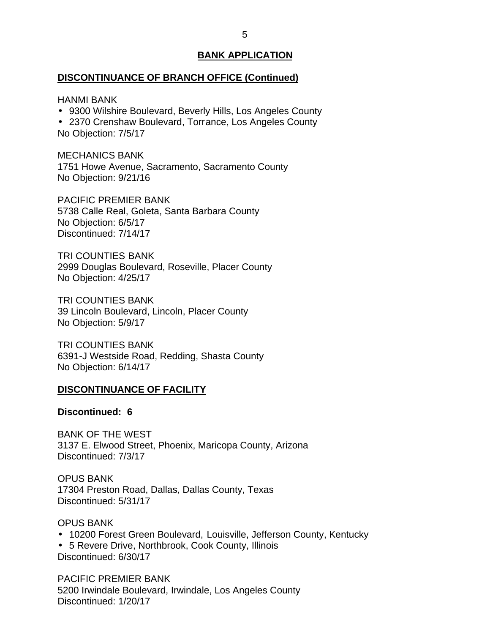#### <span id="page-5-0"></span>**DISCONTINUANCE OF BRANCH OFFICE (Continued)**

HANMI BANK

- 9300 Wilshire Boulevard, Beverly Hills, Los Angeles County
- 2370 Crenshaw Boulevard, Torrance, Los Angeles County

No Objection: 7/5/17

 1751 Howe Avenue, Sacramento, Sacramento County No Objection: 9/21/16 MECHANICS BANK

 PACIFIC PREMIER BANK 5738 Calle Real, Goleta, Santa Barbara County No Objection: 6/5/17 Discontinued: 7/14/17

 2999 Douglas Boulevard, Roseville, Placer County No Objection: 4/25/17 TRI COUNTIES BANK

 39 Lincoln Boulevard, Lincoln, Placer County No Objection: 5/9/17 TRI COUNTIES BANK

 6391-J Westside Road, Redding, Shasta County No Objection: 6/14/17 TRI COUNTIES BANK

## **DISCONTINUANCE OF FACILITY**

## **Discontinued: 6**

 BANK OF THE WEST 3137 E. Elwood Street, Phoenix, Maricopa County, Arizona Discontinued: 7/3/17

 17304 Preston Road, Dallas, Dallas County, Texas OPUS BANK Discontinued: 5/31/17

 10200 Forest Green Boulevard, Louisville, Jefferson County, Kentucky 5 Revere Drive, Northbrook, Cook County, Illinois OPUS BANK Discontinued: 6/30/17

 5200 Irwindale Boulevard, Irwindale, Los Angeles County PACIFIC PREMIER BANK Discontinued: 1/20/17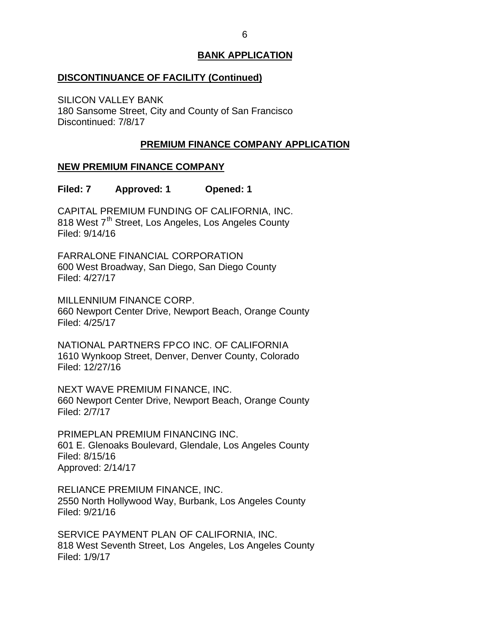## <span id="page-6-0"></span>**DISCONTINUANCE OF FACILITY (Continued)**

 180 Sansome Street, City and County of San Francisco SILICON VALLEY BANK Discontinued: 7/8/17

# **PREMIUM FINANCE COMPANY APPLICATION**

# **NEW PREMIUM FINANCE COMPANY**

**Filed: 7 Approved: 1 Opened: 1** 

 CAPITAL PREMIUM FUNDING OF CALIFORNIA, INC. 818 West 7<sup>th</sup> Street, Los Angeles, Los Angeles County Filed: 9/14/16

 600 West Broadway, San Diego, San Diego County FARRALONE FINANCIAL CORPORATION Filed: 4/27/17

 MILLENNIUM FINANCE CORP. 660 Newport Center Drive, Newport Beach, Orange County Filed: 4/25/17

 NATIONAL PARTNERS FPCO INC. OF CALIFORNIA 1610 Wynkoop Street, Denver, Denver County, Colorado Filed: 12/27/16

 NEXT WAVE PREMIUM FINANCE, INC. 660 Newport Center Drive, Newport Beach, Orange County Filed: 2/7/17

 601 E. Glenoaks Boulevard, Glendale, Los Angeles County PRIMEPLAN PREMIUM FINANCING INC. Filed: 8/15/16 Approved: 2/14/17

 RELIANCE PREMIUM FINANCE, INC. 2550 North Hollywood Way, Burbank, Los Angeles County Filed: 9/21/16

 SERVICE PAYMENT PLAN OF CALIFORNIA, INC. 818 West Seventh Street, Los Angeles, Los Angeles County Filed: 1/9/17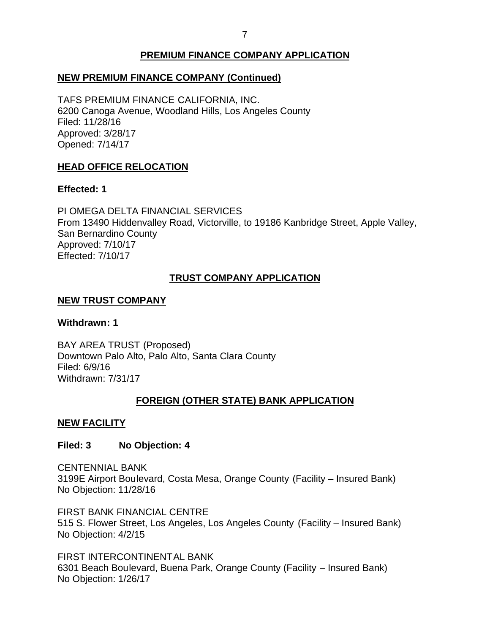# **PREMIUM FINANCE COMPANY APPLICATION**

# <span id="page-7-0"></span> **NEW PREMIUM FINANCE COMPANY (Continued)**

 TAFS PREMIUM FINANCE CALIFORNIA, INC. 6200 Canoga Avenue, Woodland Hills, Los Angeles County Filed: 11/28/16 Approved: 3/28/17 Opened: 7/14/17

# **HEAD OFFICE RELOCATION**

## **Effected: 1**

 PI OMEGA DELTA FINANCIAL SERVICES From 13490 Hiddenvalley Road, Victorville, to 19186 Kanbridge Street, Apple Valley, San Bernardino County Approved: 7/10/17 Effected: 7/10/17

# **TRUST COMPANY APPLICATION**

## **NEW TRUST COMPANY**

## **Withdrawn: 1**

 BAY AREA TRUST (Proposed) Downtown Palo Alto, Palo Alto, Santa Clara County Filed: 6/9/16 Withdrawn: 7/31/17

# **FOREIGN (OTHER STATE) BANK APPLICATION**

# **NEW FACILITY**

# **Filed: 3 No Objection: 4**

 3199E Airport Boulevard, Costa Mesa, Orange County (Facility – Insured Bank) No Objection: 11/28/16 CENTENNIAL BANK

 FIRST BANK FINANCIAL CENTRE 515 S. Flower Street, Los Angeles, Los Angeles County (Facility – Insured Bank) No Objection: 4/2/15

 6301 Beach Boulevard, Buena Park, Orange County (Facility – Insured Bank) No Objection: 1/26/17 FIRST INTERCONTINENTAL BANK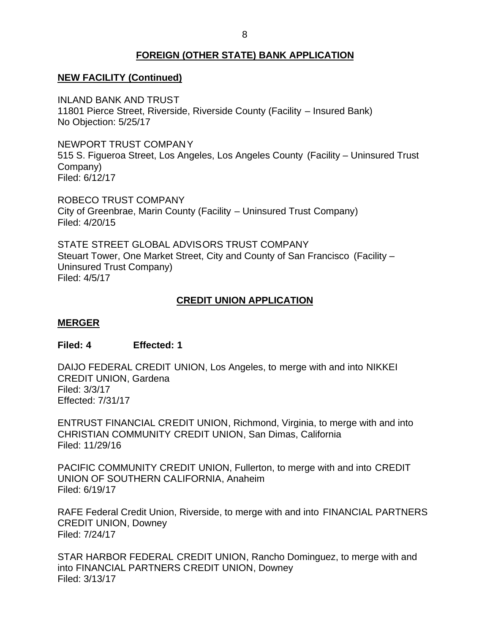# **FOREIGN (OTHER STATE) BANK APPLICATION**

# <span id="page-8-0"></span> **NEW FACILITY (Continued)**

 11801 Pierce Street, Riverside, Riverside County (Facility – Insured Bank) INLAND BANK AND TRUST No Objection: 5/25/17

 NEWPORT TRUST COMPANY 515 S. Figueroa Street, Los Angeles, Los Angeles County (Facility – Uninsured Trust Company) Filed: 6/12/17

 ROBECO TRUST COMPANY City of Greenbrae, Marin County (Facility – Uninsured Trust Company) Filed: 4/20/15

 STATE STREET GLOBAL ADVISORS TRUST COMPANY Steuart Tower, One Market Street, City and County of San Francisco (Facility – Uninsured Trust Company) Filed: 4/5/17

# **CREDIT UNION APPLICATION**

## **MERGER**

## **Filed: 4 Effected: 1**

 DAIJO FEDERAL CREDIT UNION, Los Angeles, to merge with and into NIKKEI CREDIT UNION, Gardena Filed: 3/3/17 Effected: 7/31/17

 ENTRUST FINANCIAL CREDIT UNION, Richmond, Virginia, to merge with and into CHRISTIAN COMMUNITY CREDIT UNION, San Dimas, California Filed: 11/29/16

 PACIFIC COMMUNITY CREDIT UNION, Fullerton, to merge with and into CREDIT UNION OF SOUTHERN CALIFORNIA, Anaheim Filed: 6/19/17

 RAFE Federal Credit Union, Riverside, to merge with and into FINANCIAL PARTNERS CREDIT UNION, Downey Filed: 7/24/17

 STAR HARBOR FEDERAL CREDIT UNION, Rancho Dominguez, to merge with and into FINANCIAL PARTNERS CREDIT UNION, Downey Filed: 3/13/17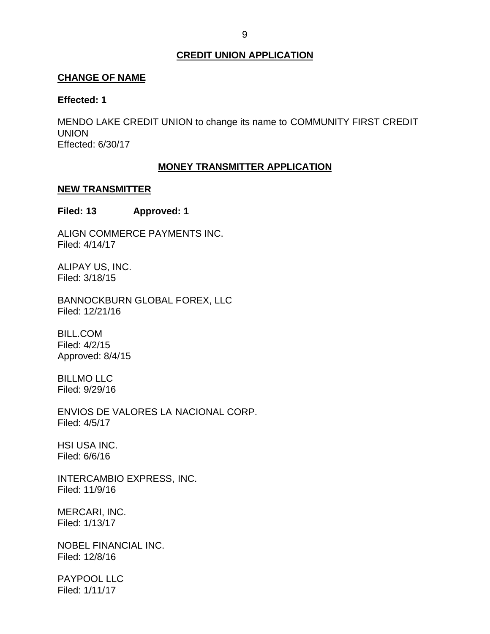## **CREDIT UNION APPLICATION**

## <span id="page-9-0"></span>**CHANGE OF NAME**

#### **Effected: 1**

 MENDO LAKE CREDIT UNION to change its name to COMMUNITY FIRST CREDIT UNION Effected: 6/30/17

## **MONEY TRANSMITTER APPLICATION**

#### **NEW TRANSMITTER**

## **Filed: 13 Approved: 1**

ALIGN COMMERCE PAYMENTS INC. Filed: 4/14/17

 ALIPAY US, INC. Filed: 3/18/15

BANNOCKBURN GLOBAL FOREX, LLC Filed: 12/21/16

BILL.COM Filed: 4/2/15 Approved: 8/4/15

BILLMO LLC Filed: 9/29/16

 ENVIOS DE VALORES LA NACIONAL CORP. Filed: 4/5/17

HSI USA INC. Filed: 6/6/16

INTERCAMBIO EXPRESS, INC. Filed: 11/9/16

MERCARI, INC. Filed: 1/13/17

NOBEL FINANCIAL INC. Filed: 12/8/16

PAYPOOL LLC Filed: 1/11/17